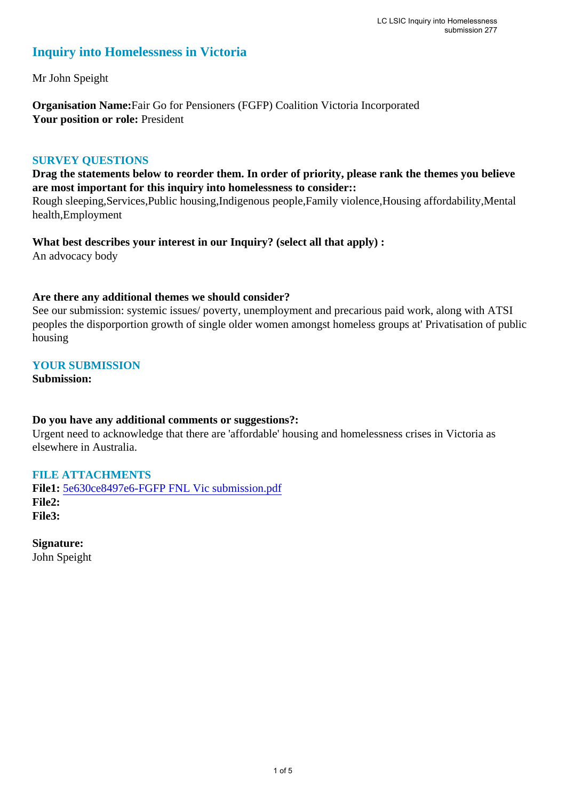# **Inquiry into Homelessness in Victoria**

Mr John Speight

**Organisation Name:**Fair Go for Pensioners (FGFP) Coalition Victoria Incorporated Your position or role: President

### **SURVEY QUESTIONS**

**Drag the statements below to reorder them. In order of priority, please rank the themes you believe are most important for this inquiry into homelessness to consider::** 

Rough sleeping,Services,Public housing,Indigenous people,Family violence,Housing affordability,Mental health,Employment

**What best describes your interest in our Inquiry? (select all that apply) :**  An advocacy body

### **Are there any additional themes we should consider?**

See our submission: systemic issues/ poverty, unemployment and precarious paid work, along with ATSI peoples the disporportion growth of single older women amongst homeless groups at' Privatisation of public housing

### **YOUR SUBMISSION**

**Submission:** 

### **Do you have any additional comments or suggestions?:**

Urgent need to acknowledge that there are 'affordable' housing and homelessness crises in Victoria as elsewhere in Australia.

# **FILE ATTACHMENTS**

**File1:** [5e630ce8497e6-FGFP FNL Vic submission.pdf](https://www.parliament.vic.gov.au/component/rsform/submission-view-file/d75b8d44855126eb14817730e8c1e2fd/e4be37014a6bd6ca5aad2c64f73e928a?Itemid=222) **File2: File3:** 

**Signature:** John Speight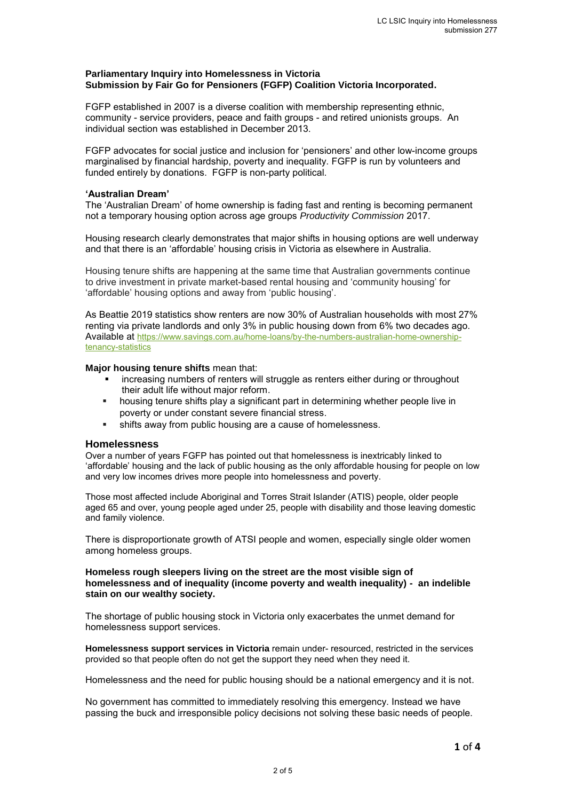#### **Parliamentary Inquiry into Homelessness in Victoria Submission by Fair Go for Pensioners (FGFP) Coalition Victoria Incorporated.**

FGFP established in 2007 is a diverse coalition with membership representing ethnic, community - service providers, peace and faith groups - and retired unionists groups. An individual section was established in December 2013.

FGFP advocates for social justice and inclusion for 'pensioners' and other low-income groups marginalised by financial hardship, poverty and inequality. FGFP is run by volunteers and funded entirely by donations. FGFP is non-party political.

#### **'Australian Dream'**

The 'Australian Dream' of home ownership is fading fast and renting is becoming permanent not a temporary housing option across age groups *Productivity Commission* 2017.

Housing research clearly demonstrates that major shifts in housing options are well underway and that there is an 'affordable' housing crisis in Victoria as elsewhere in Australia.

Housing tenure shifts are happening at the same time that Australian governments continue to drive investment in private market-based rental housing and 'community housing' for 'affordable' housing options and away from 'public housing'.

As Beattie 2019 statistics show renters are now 30% of Australian households with most 27% renting via private landlords and only 3% in public housing down from 6% two decades ago. Available at [https://www.savings.com.au/home-loans/by-the-numbers-australian-home-ownership](https://www.savings.com.au/home-loans/by-the-numbers-australian-home-ownership-tenancy-statistics)[tenancy-statistics](https://www.savings.com.au/home-loans/by-the-numbers-australian-home-ownership-tenancy-statistics)

#### **Major housing tenure shifts** mean that:

- increasing numbers of renters will struggle as renters either during or throughout their adult life without major reform.
- housing tenure shifts play a significant part in determining whether people live in poverty or under constant severe financial stress.
- shifts away from public housing are a cause of homelessness.

#### **Homelessness**

Over a number of years FGFP has pointed out that homelessness is inextricably linked to 'affordable' housing and the lack of public housing as the only affordable housing for people on low and very low incomes drives more people into homelessness and poverty.

Those most affected include Aboriginal and Torres Strait Islander (ATIS) people, older people aged 65 and over, young people aged under 25, people with disability and those leaving domestic and family violence.

There is disproportionate growth of ATSI people and women, especially single older women among homeless groups.

#### **Homeless rough sleepers living on the street are the most visible sign of homelessness and of inequality (income poverty and wealth inequality) - an indelible stain on our wealthy society.**

The shortage of public housing stock in Victoria only exacerbates the unmet demand for homelessness support services.

**Homelessness support services in Victoria** remain under- resourced, restricted in the services provided so that people often do not get the support they need when they need it.

Homelessness and the need for public housing should be a national emergency and it is not.

No government has committed to immediately resolving this emergency. Instead we have passing the buck and irresponsible policy decisions not solving these basic needs of people.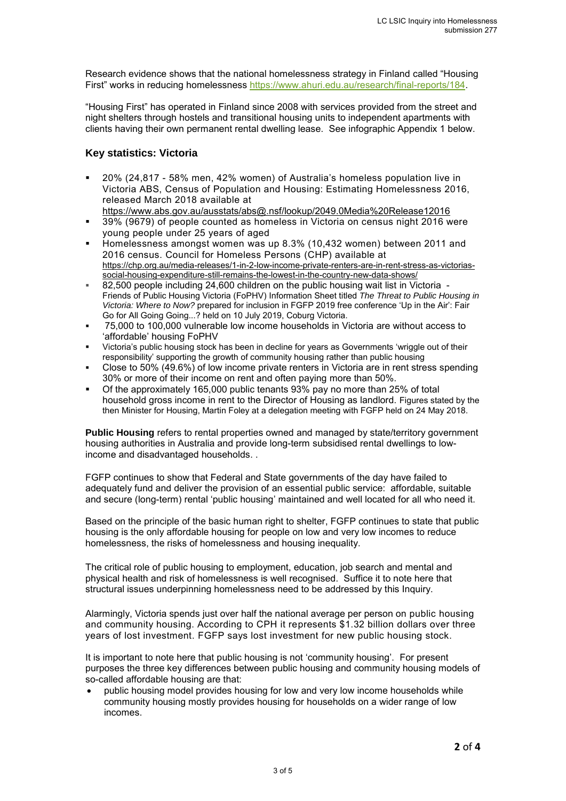Research evidence shows that the national homelessness strategy in Finland called "Housing First" works in reducing homelessness [https://www.ahuri.edu.au/research/final-reports/184.](https://www.ahuri.edu.au/research/final-reports/184)

"Housing First" has operated in Finland since 2008 with services provided from the street and night shelters through hostels and transitional housing units to independent apartments with clients having their own permanent rental dwelling lease. See infographic Appendix 1 below.

### **Key statistics: Victoria**

- 20% (24,817 58% men, 42% women) of Australia's homeless population live in Victoria ABS, Census of Population and Housing: Estimating Homelessness 2016, released March 2018 available at
- <https://www.abs.gov.au/ausstats/abs@.nsf/lookup/2049.0Media%20Release12016> 39% (9679) of people counted as homeless in Victoria on census night 2016 were young people under 25 years of aged
- Homelessness amongst women was up 8.3% (10,432 women) between 2011 and 2016 census. Council for Homeless Persons (CHP) available at [https://chp.org.au/media-releases/1-in-2-low-income-private-renters-are-in-rent-stress-as-victorias](https://chp.org.au/media-releases/1-in-2-low-income-private-renters-are-in-rent-stress-as-victorias-social-housing-expenditure-still-remains-the-lowest-in-the-country-new-data-shows/)[social-housing-expenditure-still-remains-the-lowest-in-the-country-new-data-shows/](https://chp.org.au/media-releases/1-in-2-low-income-private-renters-are-in-rent-stress-as-victorias-social-housing-expenditure-still-remains-the-lowest-in-the-country-new-data-shows/)
- 82,500 people including 24,600 children on the public housing wait list in Victoria Friends of Public Housing Victoria (FoPHV) Information Sheet titled *The Threat to Public Housing in Victoria: Where to Now?* prepared for inclusion in FGFP 2019 free conference 'Up in the Air': Fair Go for All Going Going...? held on 10 July 2019, Coburg Victoria.
- 75,000 to 100,000 vulnerable low income households in Victoria are without access to 'affordable' housing FoPHV
- Victoria's public housing stock has been in decline for years as Governments 'wriggle out of their responsibility' supporting the growth of community housing rather than public housing
- Close to 50% (49.6%) of low income private renters in Victoria are in rent stress spending 30% or more of their income on rent and often paying more than 50%.
- Of the approximately 165,000 public tenants 93% pay no more than 25% of total household gross income in rent to the Director of Housing as landlord. Figures stated by the then Minister for Housing, Martin Foley at a delegation meeting with FGFP held on 24 May 2018.

**Public Housing** refers to rental properties owned and managed by state/territory government housing authorities in Australia and provide long-term subsidised rental dwellings to lowincome and disadvantaged households. .

FGFP continues to show that Federal and State governments of the day have failed to adequately fund and deliver the provision of an essential public service: affordable, suitable and secure (long-term) rental 'public housing' maintained and well located for all who need it.

Based on the principle of the basic human right to shelter, FGFP continues to state that public housing is the only affordable housing for people on low and very low incomes to reduce homelessness, the risks of homelessness and housing inequality.

The critical role of public housing to employment, education, job search and mental and physical health and risk of homelessness is well recognised. Suffice it to note here that structural issues underpinning homelessness need to be addressed by this Inquiry.

Alarmingly, Victoria spends just over half the national average per person on public housing and community housing. According to CPH it represents \$1.32 billion dollars over three years of lost investment. FGFP says lost investment for new public housing stock.

It is important to note here that public housing is not 'community housing'. For present purposes the three key differences between public housing and community housing models of so-called affordable housing are that:

 public housing model provides housing for low and very low income households while community housing mostly provides housing for households on a wider range of low incomes.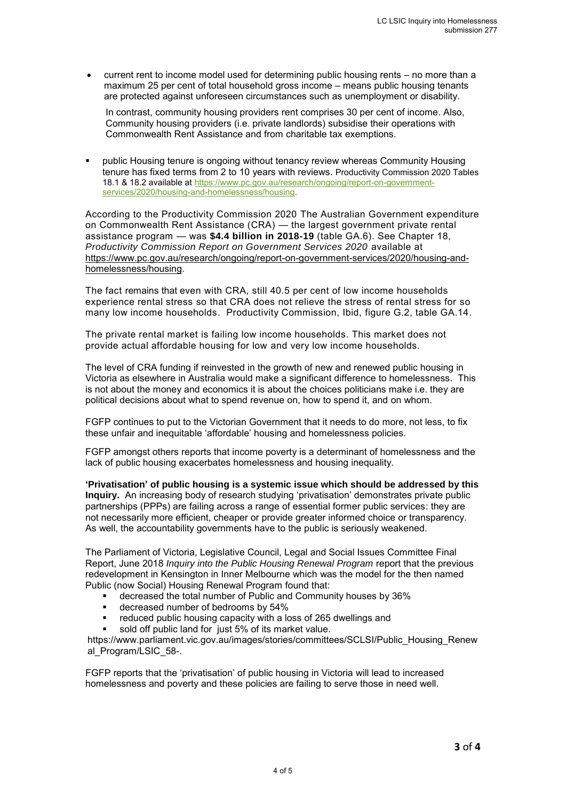current rent to income model used for determining public housing rents – no more than a maximum 25 per cent of total household gross income – means public housing tenants are protected against unforeseen circumstances such as unemployment or disability.

In contrast, community housing providers rent comprises 30 per cent of income. Also, Community housing providers (i.e. private landlords) subsidise their operations with Commonwealth Rent Assistance and from charitable tax exemptions.

 public Housing tenure is ongoing without tenancy review whereas Community Housing tenure has fixed terms from 2 to 10 years with reviews. Productivity Commission 2020 Tables 18.1 & 18.2 available at [https://www.pc.gov.au/research/ongoing/report-on-government](https://www.pc.gov.au/research/ongoing/report-on-government-services/2020/housing-and-homelessness/housing)[services/2020/housing-and-homelessness/housing.](https://www.pc.gov.au/research/ongoing/report-on-government-services/2020/housing-and-homelessness/housing)

According to the Productivity Commission 2020 The Australian Government expenditure on Commonwealth Rent Assistance (CRA) — the largest government private rental assistance program — was **\$4.4 billion in 2018-19** (table GA.6). See Chapter 18, *Productivity Commission Report on Government Services 2020* available at [https://www.pc.gov.au/research/ongoing/report-on-government-services/2020/housing-and](https://www.pc.gov.au/research/ongoing/report-on-government-services/2020/housing-and-homelessness/housing)[homelessness/housing.](https://www.pc.gov.au/research/ongoing/report-on-government-services/2020/housing-and-homelessness/housing)

The fact remains that even with CRA, still 40.5 per cent of low income households experience rental stress so that CRA does not relieve the stress of rental stress for so many low income households. Productivity Commission, Ibid, figure G.2, table GA.14.

The private rental market is failing low income households. This market does not provide actual affordable housing for low and very low income households.

The level of CRA funding if reinvested in the growth of new and renewed public housing in Victoria as elsewhere in Australia would make a significant difference to homelessness. This is not about the money and economics it is about the choices politicians make i.e. they are political decisions about what to spend revenue on, how to spend it, and on whom.

FGFP continues to put to the Victorian Government that it needs to do more, not less, to fix these unfair and inequitable 'affordable' housing and homelessness policies.

FGFP amongst others reports that income poverty is a determinant of homelessness and the lack of public housing exacerbates homelessness and housing inequality.

**'Privatisation' of public housing is a systemic issue which should be addressed by this Inquiry.** An increasing body of research studying 'privatisation' demonstrates private public partnerships (PPPs) are failing across a range of essential former public services: they are not necessarily more efficient, cheaper or provide greater informed choice or transparency. As well, the accountability governments have to the public is seriously weakened.

The Parliament of Victoria, Legislative Council, Legal and Social Issues Committee Final Report, June 2018 *Inquiry into the Public Housing Renewal Program* report that the previous redevelopment in Kensington in Inner Melbourne which was the model for the then named Public (now Social) Housing Renewal Program found that:

- decreased the total number of Public and Community houses by 36%
- decreased number of bedrooms by 54%
- reduced public housing capacity with a loss of 265 dwellings and
- sold off public land for just 5% of its market value.

https://www.parliament.vic.gov.au/images/stories/committees/SCLSI/Public\_Housing\_Renew al\_Program/LSIC\_58-.

FGFP reports that the 'privatisation' of public housing in Victoria will lead to increased homelessness and poverty and these policies are failing to serve those in need well.